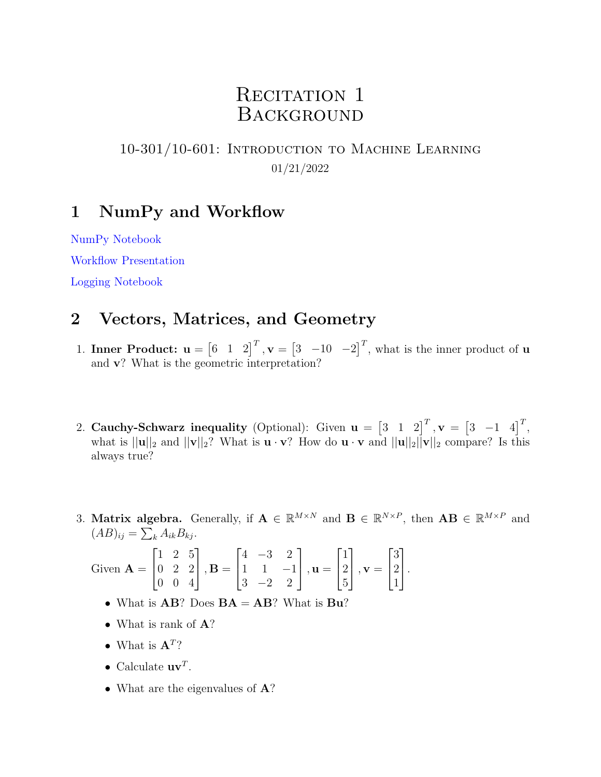# RECITATION 1 **BACKGROUND**

#### 10-301/10-601: Introduction to Machine Learning 01/21/2022

### 1 NumPy and Workflow

[NumPy Notebook](https://drive.google.com/file/d/1qbjSYSCXj29-mkXm5cHU4X73NK3gyHy_/view?usp=sharing)

[Workflow Presentation](https://docs.google.com/presentation/d/1J17FiWiTsfw9v2Cncy822ukrCur1YKpQnkLVcATvdVM/edit?usp=sharing)

[Logging Notebook](https://drive.google.com/file/d/1quZP7QSVhy-sJjgIUp0Gw7oIUVUI3I9c/view?usp=sharing)

## 2 Vectors, Matrices, and Geometry

- 1. Inner Product:  $\mathbf{u} = \begin{bmatrix} 6 & 1 & 2 \end{bmatrix}^T$ ,  $\mathbf{v} = \begin{bmatrix} 3 & -10 & -2 \end{bmatrix}^T$ , what is the inner product of **u** and v? What is the geometric interpretation?
- 2. Cauchy-Schwarz inequality (Optional): Given  $\mathbf{u} = \begin{bmatrix} 3 & 1 & 2 \end{bmatrix}^T$ ,  $\mathbf{v} = \begin{bmatrix} 3 & -1 & 4 \end{bmatrix}^T$ , what is  $||\mathbf{u}||_2$  and  $||\mathbf{v}||_2$ ? What is  $\mathbf{u} \cdot \mathbf{v}$ ? How do  $\mathbf{u} \cdot \mathbf{v}$  and  $||\mathbf{u}||_2||\mathbf{v}||_2$  compare? Is this always true?
- 3. Matrix algebra. Generally, if  $\mathbf{A} \in \mathbb{R}^{M \times N}$  and  $\mathbf{B} \in \mathbb{R}^{N \times P}$ , then  $\mathbf{A}\mathbf{B} \in \mathbb{R}^{M \times P}$  and  $(AB)_{ij} = \sum_k A_{ik} B_{kj}.$

Given 
$$
\mathbf{A} = \begin{bmatrix} 1 & 2 & 5 \\ 0 & 2 & 2 \\ 0 & 0 & 4 \end{bmatrix}
$$
,  $\mathbf{B} = \begin{bmatrix} 4 & -3 & 2 \\ 1 & 1 & -1 \\ 3 & -2 & 2 \end{bmatrix}$ ,  $\mathbf{u} = \begin{bmatrix} 1 \\ 2 \\ 5 \end{bmatrix}$ ,  $\mathbf{v} = \begin{bmatrix} 3 \\ 2 \\ 1 \end{bmatrix}$ .

- What is  $AB$ ? Does  $BA = AB$ ? What is  $Bu$ ?
- What is rank of **A**?
- What is  $\mathbf{A}^T$ ?
- Calculate  $\mathbf{u}\mathbf{v}^T$ .
- What are the eigenvalues of **A**?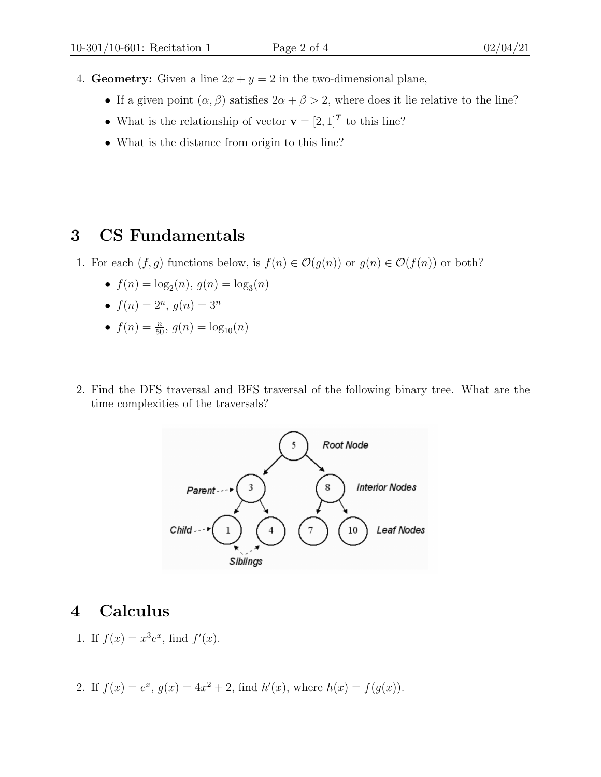- 4. Geometry: Given a line  $2x + y = 2$  in the two-dimensional plane,
	- If a given point  $(\alpha, \beta)$  satisfies  $2\alpha + \beta > 2$ , where does it lie relative to the line?
	- What is the relationship of vector  $\mathbf{v} = [2, 1]^T$  to this line?
	- What is the distance from origin to this line?

## 3 CS Fundamentals

- 1. For each  $(f, g)$  functions below, is  $f(n) \in \mathcal{O}(g(n))$  or  $g(n) \in \mathcal{O}(f(n))$  or both?
	- $f(n) = \log_2(n), g(n) = \log_3(n)$
	- $f(n) = 2^n, g(n) = 3^n$
	- $f(n) = \frac{n}{50}, g(n) = \log_{10}(n)$
- 2. Find the DFS traversal and BFS traversal of the following binary tree. What are the time complexities of the traversals?



#### 4 Calculus

1. If  $f(x) = x^3 e^x$ , find  $f'(x)$ .

2. If 
$$
f(x) = e^x
$$
,  $g(x) = 4x^2 + 2$ , find  $h'(x)$ , where  $h(x) = f(g(x))$ .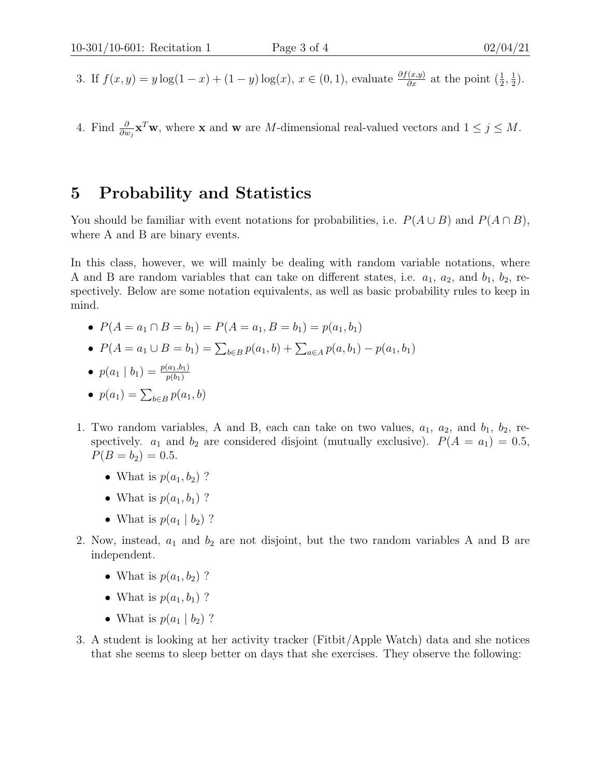- 3. If  $f(x,y) = y \log(1-x) + (1-y) \log(x), x \in (0,1)$ , evaluate  $\frac{\partial f(x,y)}{\partial x}$  at the point  $(\frac{1}{2}, \frac{1}{2})$  $(\frac{1}{2})$ .
- 4. Find  $\frac{\partial}{\partial w_j} \mathbf{x}^T \mathbf{w}$ , where **x** and **w** are *M*-dimensional real-valued vectors and  $1 \leq j \leq M$ .

#### 5 Probability and Statistics

You should be familiar with event notations for probabilities, i.e.  $P(A \cup B)$  and  $P(A \cap B)$ , where A and B are binary events.

In this class, however, we will mainly be dealing with random variable notations, where A and B are random variables that can take on different states, i.e.  $a_1$ ,  $a_2$ , and  $b_1$ ,  $b_2$ , respectively. Below are some notation equivalents, as well as basic probability rules to keep in mind.

- $P(A = a_1 \cap B = b_1) = P(A = a_1, B = b_1) = p(a_1, b_1)$
- $P(A = a_1 \cup B = b_1) = \sum_{b \in B} p(a_1, b) + \sum_{a \in A} p(a, b_1) p(a_1, b_1)$

• 
$$
p(a_1 | b_1) = \frac{p(a_1, b_1)}{p(b_1)}
$$

$$
\bullet \ \ p(a_1) = \sum_{b \in B} p(a_1, b)
$$

- 1. Two random variables, A and B, each can take on two values,  $a_1$ ,  $a_2$ , and  $b_1$ ,  $b_2$ , respectively.  $a_1$  and  $b_2$  are considered disjoint (mutually exclusive).  $P(A = a_1) = 0.5$ ,  $P(B = b_2) = 0.5.$ 
	- What is  $p(a_1, b_2)$  ?
	- What is  $p(a_1, b_1)$  ?
	- What is  $p(a_1 | b_2)$  ?
- 2. Now, instead,  $a_1$  and  $b_2$  are not disjoint, but the two random variables A and B are independent.
	- What is  $p(a_1, b_2)$  ?
	- What is  $p(a_1, b_1)$  ?
	- What is  $p(a_1 | b_2)$  ?
- 3. A student is looking at her activity tracker (Fitbit/Apple Watch) data and she notices that she seems to sleep better on days that she exercises. They observe the following: